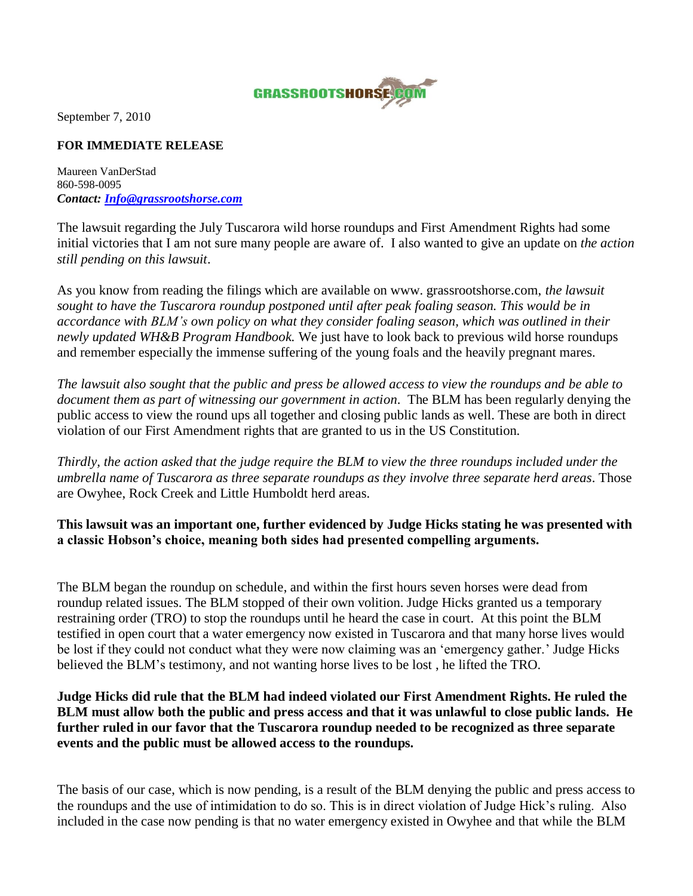

September 7, 2010

## **FOR IMMEDIATE RELEASE**

Maureen VanDerStad 860-598-0095 *Contact: [Info@grassrootshorse.com](mailto:Info@grassrootshorse.com)*

The lawsuit regarding the July Tuscarora wild horse roundups and First Amendment Rights had some initial victories that I am not sure many people are aware of. I also wanted to give an update on *the action still pending on this lawsuit*.

As you know from reading the filings which are available on www. grassrootshorse.com, *the lawsuit sought to have the Tuscarora roundup postponed until after peak foaling season. This would be in accordance with BLM's own policy on what they consider foaling season, which was outlined in their newly updated WH&B Program Handbook.* We just have to look back to previous wild horse roundups and remember especially the immense suffering of the young foals and the heavily pregnant mares.

*The lawsuit also sought that the public and press be allowed access to view the roundups and be able to document them as part of witnessing our government in action*. The BLM has been regularly denying the public access to view the round ups all together and closing public lands as well. These are both in direct violation of our First Amendment rights that are granted to us in the US Constitution.

*Thirdly, the action asked that the judge require the BLM to view the three roundups included under the umbrella name of Tuscarora as three separate roundups as they involve three separate herd areas*. Those are Owyhee, Rock Creek and Little Humboldt herd areas.

**This lawsuit was an important one, further evidenced by Judge Hicks stating he was presented with a classic Hobson's choice, meaning both sides had presented compelling arguments.** 

The BLM began the roundup on schedule, and within the first hours seven horses were dead from roundup related issues. The BLM stopped of their own volition. Judge Hicks granted us a temporary restraining order (TRO) to stop the roundups until he heard the case in court. At this point the BLM testified in open court that a water emergency now existed in Tuscarora and that many horse lives would be lost if they could not conduct what they were now claiming was an 'emergency gather.' Judge Hicks believed the BLM's testimony, and not wanting horse lives to be lost , he lifted the TRO.

**Judge Hicks did rule that the BLM had indeed violated our First Amendment Rights. He ruled the BLM must allow both the public and press access and that it was unlawful to close public lands. He further ruled in our favor that the Tuscarora roundup needed to be recognized as three separate events and the public must be allowed access to the roundups.** 

The basis of our case, which is now pending, is a result of the BLM denying the public and press access to the roundups and the use of intimidation to do so. This is in direct violation of Judge Hick's ruling. Also included in the case now pending is that no water emergency existed in Owyhee and that while the BLM